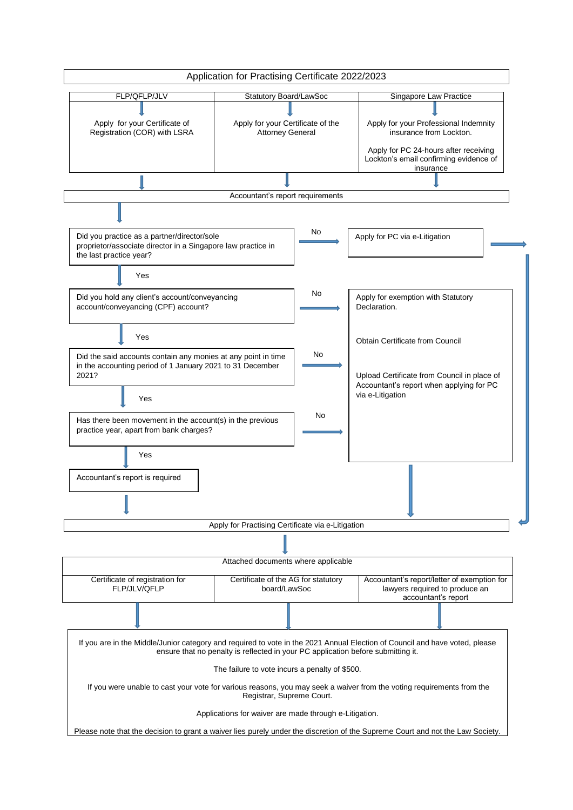